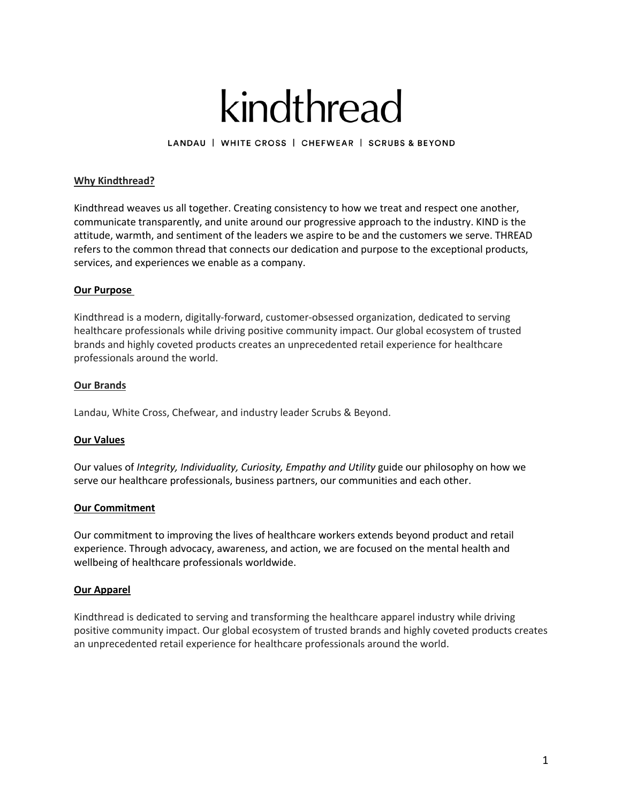# kindthread

LANDAU | WHITE CROSS | CHEFWEAR | SCRUBS & BEYOND

# **Why Kindthread?**

Kindthread weaves us all together. Creating consistency to how we treat and respect one another, communicate transparently, and unite around our progressive approach to the industry. KIND is the attitude, warmth, and sentiment of the leaders we aspire to be and the customers we serve. THREAD refers to the common thread that connects our dedication and purpose to the exceptional products, services, and experiences we enable as a company.

## **Our Purpose**

Kindthread is a modern, digitally-forward, customer-obsessed organization, dedicated to serving healthcare professionals while driving positive community impact. Our global ecosystem of trusted brands and highly coveted products creates an unprecedented retail experience for healthcare professionals around the world.

## **Our Brands**

Landau, White Cross, Chefwear, and industry leader Scrubs & Beyond.

# **Our Values**

Our values of *Integrity, Individuality, Curiosity, Empathy and Utility* guide our philosophy on how we serve our healthcare professionals, business partners, our communities and each other.

## **Our Commitment**

Our commitment to improving the lives of healthcare workers extends beyond product and retail experience. Through advocacy, awareness, and action, we are focused on the mental health and wellbeing of healthcare professionals worldwide.

## **Our Apparel**

Kindthread is dedicated to serving and transforming the healthcare apparel industry while driving positive community impact. Our global ecosystem of trusted brands and highly coveted products creates an unprecedented retail experience for healthcare professionals around the world.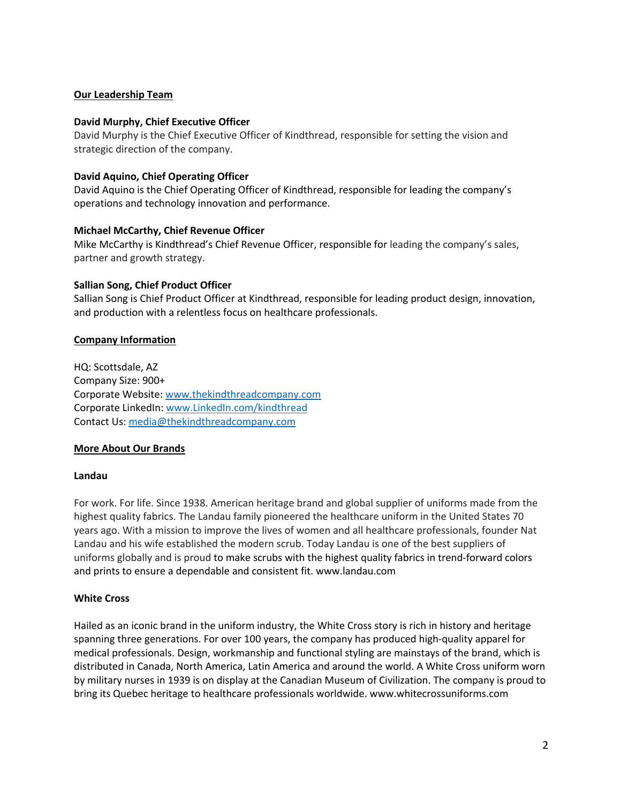# **Our Leadership Team**

## **David Murphy, Chief Executive Officer**

David Murphy is the Chief Executive Officer of Kindthread, responsible for setting the vision and strategic direction of the company.

## **David Aquino, Chief Operating Officer**

David Aquino is the Chief Operating Officer of Kindthread, responsible for leading the company's operations and technology innovation and performance.

#### **Michael McCarthy, Chief Revenue Officer**

Mike McCarthy is Kindthread's Chief Revenue Officer, responsible for leading the company's sales, partner and growth strategy.

#### **Sallian Song, Chief Product Officer**

Sallian Song is Chief Product Officer at Kindthread, responsible for leading product design, innovation, and production with a relentless focus on healthcare professionals.

#### **Company Information**

HQ: Scottsdale, AZ Company Size: 900+ Corporate Website: www.thekindthreadcompany.com Corporate LinkedIn: www.LinkedIn.com/kindthread Contact Us: media@thekindthreadcompany.com

## **More About Our Brands**

#### **Landau**

For work. For life. Since 1938. American heritage brand and global supplier of uniforms made from the highest quality fabrics. The Landau family pioneered the healthcare uniform in the United States 70 years ago. With a mission to improve the lives of women and all healthcare professionals, founder Nat Landau and his wife established the modern scrub. Today Landau is one of the best suppliers of uniforms globally and is proud to make scrubs with the highest quality fabrics in trend-forward colors and prints to ensure a dependable and consistent fit. www.landau.com

## **White Cross**

Hailed as an iconic brand in the uniform industry, the White Cross story is rich in history and heritage spanning three generations. For over 100 years, the company has produced high-quality apparel for medical professionals. Design, workmanship and functional styling are mainstays of the brand, which is distributed in Canada, North America, Latin America and around the world. A White Cross uniform worn by military nurses in 1939 is on display at the Canadian Museum of Civilization. The company is proud to bring its Quebec heritage to healthcare professionals worldwide. www.whitecrossuniforms.com